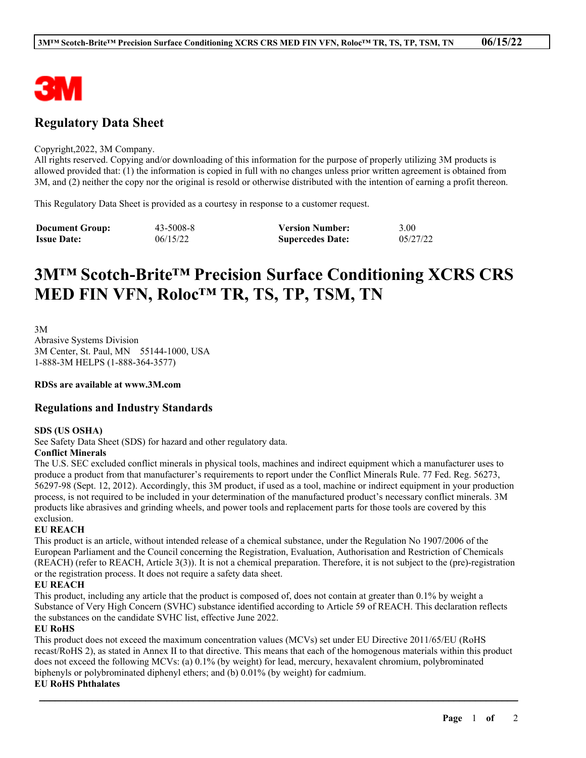

# **Regulatory Data Sheet**

#### Copyright,2022, 3M Company.

All rights reserved. Copying and/or downloading of this information for the purpose of properly utilizing 3M products is allowed provided that: (1) the information is copied in full with no changes unless prior written agreement is obtained from 3M, and (2) neither the copy nor the original is resold or otherwise distributed with the intention of earning a profit thereon.

This Regulatory Data Sheet is provided as a courtesy in response to a customer request.

| <b>Document Group:</b> | 43-5008-8 | <b>Version Number:</b>  | 3.00     |
|------------------------|-----------|-------------------------|----------|
| <b>Issue Date:</b>     | 06/15/22  | <b>Supercedes Date:</b> | 05/27/22 |

# **3M™ Scotch-Brite™ Precision Surface Conditioning XCRS CRS MED FIN VFN, Roloc™ TR, TS, TP, TSM, TN**

3M

Abrasive Systems Division 3M Center, St. Paul, MN 55144-1000, USA 1-888-3M HELPS (1-888-364-3577)

**RDSs are available at www.3M.com**

### **Regulations and Industry Standards**

#### **SDS (US OSHA)**

See Safety Data Sheet (SDS) for hazard and other regulatory data.

#### **Conflict Minerals**

The U.S. SEC excluded conflict minerals in physical tools, machines and indirect equipment which a manufacturer uses to produce a product from that manufacturer's requirements to report under the Conflict Minerals Rule. 77 Fed. Reg. 56273, 56297-98 (Sept. 12, 2012). Accordingly, this 3M product, if used as a tool, machine or indirect equipment in your production process, is not required to be included in your determination of the manufactured product's necessary conflict minerals. 3M products like abrasives and grinding wheels, and power tools and replacement parts for those tools are covered by this exclusion.

#### **EU REACH**

This product is an article, without intended release of a chemical substance, under the Regulation No 1907/2006 of the European Parliament and the Council concerning the Registration, Evaluation, Authorisation and Restriction of Chemicals (REACH) (refer to REACH, Article 3(3)). It is not a chemical preparation. Therefore, it is not subject to the (pre)-registration or the registration process. It does not require a safety data sheet.

#### **EU REACH**

This product, including any article that the product is composed of, does not contain at greater than 0.1% by weight a Substance of Very High Concern (SVHC) substance identified according to Article 59 of REACH. This declaration reflects the substances on the candidate SVHC list, effective June 2022.

#### **EU RoHS**

This product does not exceed the maximum concentration values (MCVs) set under EU Directive 2011/65/EU (RoHS recast/RoHS 2), as stated in Annex II to that directive. This means that each of the homogenous materials within this product does not exceed the following MCVs: (a) 0.1% (by weight) for lead, mercury, hexavalent chromium, polybrominated biphenyls or polybrominated diphenyl ethers; and (b) 0.01% (by weight) for cadmium.

\_\_\_\_\_\_\_\_\_\_\_\_\_\_\_\_\_\_\_\_\_\_\_\_\_\_\_\_\_\_\_\_\_\_\_\_\_\_\_\_\_\_\_\_\_\_\_\_\_\_\_\_\_\_\_\_\_\_\_\_\_\_\_\_\_\_\_\_\_\_\_\_\_\_\_\_\_\_\_\_\_\_\_\_\_\_\_\_\_\_

#### **EU RoHS Phthalates**